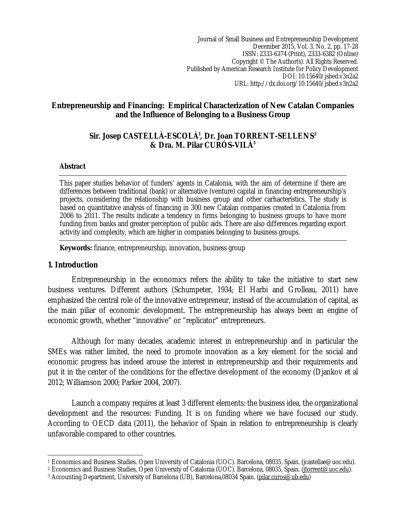Journal of Small Business and Entrepreneurship Development December 2015, Vol. 3, No. 2, pp. 17-28 ISSN: 2333-6374 (Print), 2333-6382 (Online) Copyright © The Author(s). All Rights Reserved. Published by American Research Institute for Policy Development DOI: 10.15640/jsbed.v3n2a2 URL: http://dx.doi.org/10.15640/jsbed.v3n2a2

#### **Entrepreneurship and Financing: Empirical Characterization of New Catalan Companies and the Influence of Belonging to a Business Group**

#### **Sir. Josep CASTELLÀ-ESCOLÀ<sup>1</sup> , Dr. Joan TORRENT-SELLENS<sup>2</sup> & Dra. M. Pilar CURÓS-VILÀ<sup>3</sup>**

#### **Abstract**

This paper studies behavior of funders' agents in Catalonia, with the aim of determine if there are differences between traditional (bank) or alternative (venture) capital in financing entrepreneurship's projects, considering the relationship with business group and other carhacteristics. The study is based on quantitative analysis of financing in 300 new Catalan companies created in Catalonia from 2006 to 2011. The results indicate a tendency in firms belonging to business groups to have more funding from banks and greater perception of public aids. There are also differences regarding export activity and complexity, which are higher in companies belonging to business groups.

**Keywords:** finance, entrepreneurship, innovation, business group

#### **1. Introduction**

Entrepreneurship in the economics refers the ability to take the initiative to start new business ventures. Different authors (Schumpeter, 1934; El Harbi and Grolleau, 2011) have emphasized the central role of the innovative entrepreneur, instead of the accumulation of capital, as the main piliar of economic development. The entrepreneurship has always been an engine of economic growth, whether "innovative" or "replicator" entrepreneurs.

Although for many decades, academic interest in entrepreneurship and in particular the SMEs was rather limited, the need to promote innovation as a key element for the social and economic progress has indeed arouse the interest in entrepreneurship and their requirements and put it in the center of the conditions for the effective development of the economy (Djankov et al 2012; Williamson 2000; Parker 2004, 2007).

Launch a company requires at least 3 different elements: the business idea, the organizational development and the resources: Funding. It is on funding where we have focused our study. According to OECD data (2011), the behavior of Spain in relation to entrepreneurship is clearly unfavorable compared to other countries.

 $\overline{\phantom{a}}$ <sup>1</sup> Economics and Business Studies. Open University of Catalonia (UOC). Barcelona, 08035, Spain. (jcastellae@uoc.edu).

<sup>&</sup>lt;sup>2</sup> Economics and Business Studies, Open University of Catalonia (UOC). Barcelona, 08035, Spain. (*jtorrent@uoc.edu*).

<sup>3</sup> Accounting Department, University of Barcelona (UB), Barcelona,08034 Spain. (pilar.curos@ub.edu)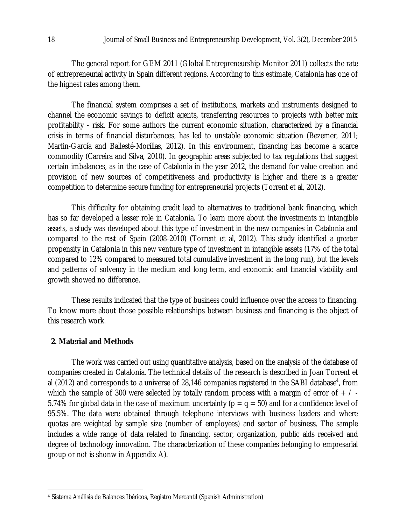The general report for GEM 2011 (Global Entrepreneurship Monitor 2011) collects the rate of entrepreneurial activity in Spain different regions. According to this estimate, Catalonia has one of the highest rates among them.

The financial system comprises a set of institutions, markets and instruments designed to channel the economic savings to deficit agents, transferring resources to projects with better mix profitability - risk. For some authors the current economic situation, characterized by a financial crisis in terms of financial disturbances, has led to unstable economic situation (Bezemer, 2011; Martin-García and Ballesté-Morillas, 2012). In this environment, financing has become a scarce commodity (Carreira and Silva, 2010). In geographic areas subjected to tax regulations that suggest certain imbalances, as in the case of Catalonia in the year 2012, the demand for value creation and provision of new sources of competitiveness and productivity is higher and there is a greater competition to determine secure funding for entrepreneurial projects (Torrent et al, 2012).

This difficulty for obtaining credit lead to alternatives to traditional bank financing, which has so far developed a lesser role in Catalonia. To learn more about the investments in intangible assets, a study was developed about this type of investment in the new companies in Catalonia and compared to the rest of Spain (2008-2010) (Torrent et al, 2012). This study identified a greater propensity in Catalonia in this new venture type of investment in intangible assets (17% of the total compared to 12% compared to measured total cumulative investment in the long run), but the levels and patterns of solvency in the medium and long term, and economic and financial viability and growth showed no difference.

These results indicated that the type of business could influence over the access to financing. To know more about those possible relationships between business and financing is the object of this research work.

#### **2. Material and Methods**

 $\overline{\phantom{a}}$ 

The work was carried out using quantitative analysis, based on the analysis of the database of companies created in Catalonia. The technical details of the research is described in Joan Torrent et al (2012) and corresponds to a universe of 28,146 companies registered in the SABI database<sup>4</sup>, from which the sample of 300 were selected by totally random process with a margin of error of  $+$  / -5.74% for global data in the case of maximum uncertainty ( $p = q = 50$ ) and for a confidence level of 95.5%. The data were obtained through telephone interviews with business leaders and where quotas are weighted by sample size (number of employees) and sector of business. The sample includes a wide range of data related to financing, sector, organization, public aids received and degree of technology innovation. The characterization of these companies belonging to empresarial group or not is shonw in Appendix A).

<sup>4</sup> Sistema Análisis de Balances Ibéricos, Registro Mercantil (Spanish Administration)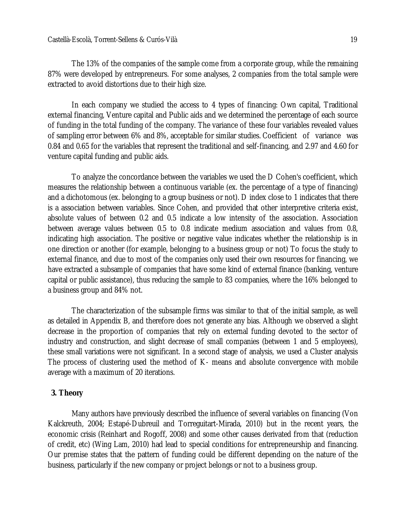The 13% of the companies of the sample come from a corporate group, while the remaining 87% were developed by entrepreneurs. For some analyses, 2 companies from the total sample were extracted to avoid distortions due to their high size.

In each company we studied the access to 4 types of financing: Own capital, Traditional external financing, Venture capital and Public aids and we determined the percentage of each source of funding in the total funding of the company. The variance of these four variables revealed values of sampling error between 6% and 8%, acceptable for similar studies. Coefficient of variance was 0.84 and 0.65 for the variables that represent the traditional and self-financing, and 2.97 and 4.60 for venture capital funding and public aids.

To analyze the concordance between the variables we used the D Cohen's coefficient, which measures the relationship between a continuous variable (ex. the percentage of a type of financing) and a dichotomous (ex. belonging to a group business or not). D index close to 1 indicates that there is a association between variables. Since Cohen, and provided that other interpretive criteria exist, absolute values of between 0.2 and 0.5 indicate a low intensity of the association. Association between average values between 0.5 to 0.8 indicate medium association and values from 0.8, indicating high association. The positive or negative value indicates whether the relationship is in one direction or another (for example, belonging to a business group or not) To focus the study to external finance, and due to most of the companies only used their own resources for financing, we have extracted a subsample of companies that have some kind of external finance (banking, venture capital or public assistance), thus reducing the sample to 83 companies, where the 16% belonged to a business group and 84% not.

The characterization of the subsample firms was similar to that of the initial sample, as well as detailed in Appendix B, and therefore does not generate any bias. Although we observed a slight decrease in the proportion of companies that rely on external funding devoted to the sector of industry and construction, and slight decrease of small companies (between 1 and 5 employees), these small variations were not significant. In a second stage of analysis, we used a Cluster analysis The process of clustering used the method of K- means and absolute convergence with mobile average with a maximum of 20 iterations.

#### **3. Theory**

Many authors have previously described the influence of several variables on financing (Von Kalckreuth, 2004; Estapé-Dubreuil and Torreguitart-Mirada, 2010) but in the recent years, the economic crisis (Reinhart and Rogoff, 2008) and some other causes derivated from that (reduction of credit, etc) (Wing Lam, 2010) had lead to special conditions for entrepreneurship and financing. Our premise states that the pattern of funding could be different depending on the nature of the business, particularly if the new company or project belongs or not to a business group.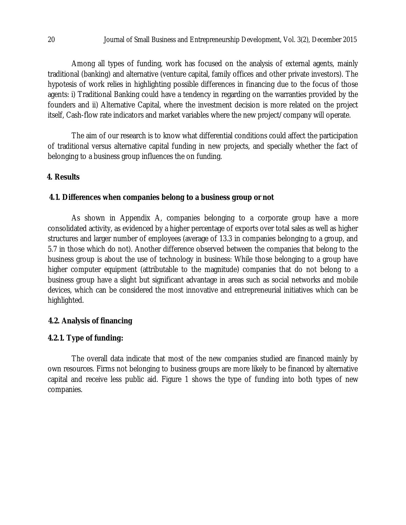Among all types of funding, work has focused on the analysis of external agents, mainly traditional (banking) and alternative (venture capital, family offices and other private investors). The hypotesis of work relies in highlighting possible differences in financing due to the focus of those agents: i) Traditional Banking could have a tendency in regarding on the warranties provided by the founders and ii) Alternative Capital, where the investment decision is more related on the project itself, Cash-flow rate indicators and market variables where the new project/company will operate.

The aim of our research is to know what differential conditions could affect the participation of traditional versus alternative capital funding in new projects, and specially whether the fact of belonging to a business group influences the on funding.

# **4. Results**

#### **4.1. Differences when companies belong to a business group or not**

As shown in Appendix A, companies belonging to a corporate group have a more consolidated activity, as evidenced by a higher percentage of exports over total sales as well as higher structures and larger number of employees (average of 13.3 in companies belonging to a group, and 5.7 in those which do not). Another difference observed between the companies that belong to the business group is about the use of technology in business: While those belonging to a group have higher computer equipment (attributable to the magnitude) companies that do not belong to a business group have a slight but significant advantage in areas such as social networks and mobile devices, which can be considered the most innovative and entrepreneurial initiatives which can be highlighted.

#### **4.2. Analysis of financing**

#### **4.2.1. Type of funding:**

The overall data indicate that most of the new companies studied are financed mainly by own resources. Firms not belonging to business groups are more likely to be financed by alternative capital and receive less public aid. Figure 1 shows the type of funding into both types of new companies.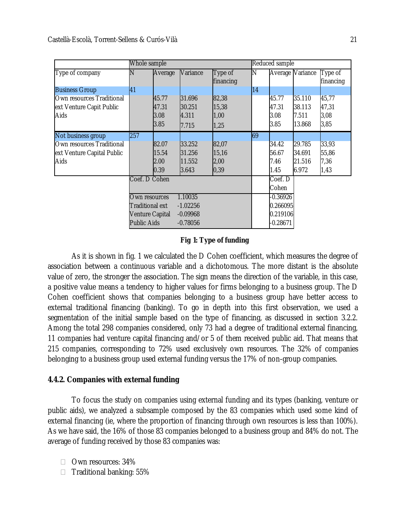|                            | Whole sample           |         |            |           |    | Reduced sample   |        |           |
|----------------------------|------------------------|---------|------------|-----------|----|------------------|--------|-----------|
| Type of company            | N                      | Average | Variance   | Type of   | Ν  | Average Variance |        | Type of   |
|                            |                        |         |            | financing |    |                  |        | financing |
| <b>Business Group</b>      | 41                     |         |            |           | 14 |                  |        |           |
| Own resources Traditional  |                        | 45.77   | 31.696     | 82,38     |    | 45.77            | 35.110 | 45,77     |
| ext Venture Capit Public   |                        | 47.31   | 30.251     | 15,38     |    | 47.31            | 38.113 | 47,31     |
| Aids                       |                        | 3.08    | 4.311      | 1,00      |    | 3.08             | 7.511  | 3,08      |
|                            |                        | 3.85    | 7.715      | 1,25      |    | 3.85             | 13.868 | 3,85      |
| Not business group         | 257                    |         |            |           | 69 |                  |        |           |
| Own resources Traditional  |                        | 82.07   | 33.252     | 82,07     |    | 34.42            | 29.785 | 33,93     |
| ext Venture Capital Public |                        | 15.54   | 31.256     | 15,16     |    | 56.67            | 34.691 | 55,86     |
| Aids                       |                        | 2.00    | 11.552     | 2,00      |    | 7.46             | 21.516 | 7,36      |
|                            |                        | 0.39    | 3.643      | 0,39      |    | 1.45             | 6.972  | 1,43      |
|                            | Coef. D Cohen          |         |            |           |    | Coef. D          |        |           |
|                            |                        |         |            |           |    | Cohen            |        |           |
|                            | Own resources          |         | 1.10035    |           |    | $-0.36926$       |        |           |
|                            | <b>Traditional ext</b> |         | $-1.02256$ |           |    | 0.266095         |        |           |
|                            | <b>Venture Capital</b> |         | $-0.09968$ |           |    | 0.219106         |        |           |
|                            | <b>Public Aids</b>     |         | $-0.78056$ |           |    | $-0.28671$       |        |           |

#### **Fig 1: Type of funding**

As it is shown in fig. 1 we calculated the D Cohen coefficient, which measures the degree of association between a continuous variable and a dichotomous. The more distant is the absolute value of zero, the stronger the association. The sign means the direction of the variable, in this case, a positive value means a tendency to higher values for firms belonging to a business group. The D Cohen coefficient shows that companies belonging to a business group have better access to external traditional financing (banking). To go in depth into this first observation, we used a segmentation of the initial sample based on the type of financing, as discussed in section 3.2.2. Among the total 298 companies considered, only 73 had a degree of traditional external financing, 11 companies had venture capital financing and/or 5 of them received public aid. That means that 215 companies, corresponding to 72% used exclusively own resources. The 32% of companies belonging to a business group used external funding versus the 17% of non-group companies.

#### **4.4.2. Companies with external funding**

To focus the study on companies using external funding and its types (banking, venture or public aids), we analyzed a subsample composed by the 83 companies which used some kind of external financing (ie, where the proportion of financing through own resources is less than 100%). As we have said, the 16% of those 83 companies belonged to a business group and 84% do not. The average of funding received by those 83 companies was:

- Own resources: 34%
- $\Box$  Traditional banking: 55%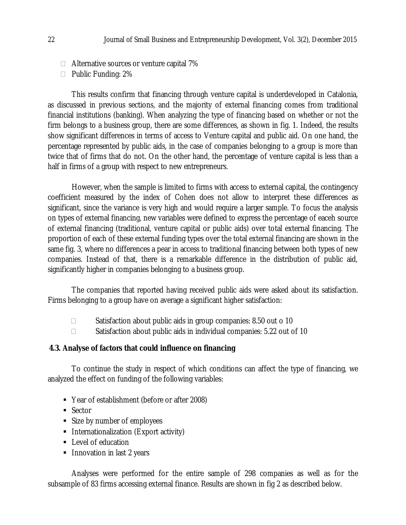- $\Box$  Alternative sources or venture capital 7%
- $\Box$  Public Funding: 2%

This results confirm that financing through venture capital is underdeveloped in Catalonia, as discussed in previous sections, and the majority of external financing comes from traditional financial institutions (banking). When analyzing the type of financing based on whether or not the firm belongs to a business group, there are some differences, as shown in fig. 1. Indeed, the results show significant differences in terms of access to Venture capital and public aid. On one hand, the percentage represented by public aids, in the case of companies belonging to a group is more than twice that of firms that do not. On the other hand, the percentage of venture capital is less than a half in firms of a group with respect to new entrepreneurs.

However, when the sample is limited to firms with access to external capital, the contingency coefficient measured by the index of Cohen does not allow to interpret these differences as significant, since the variance is very high and would require a larger sample. To focus the analysis on types of external financing, new variables were defined to express the percentage of eaceh source of external financing (traditional, venture capital or public aids) over total external financing. The proportion of each of these external funding types over the total external financing are shown in the same fig. 3, where no differences a pear in access to traditional financing between both types of new companies. Instead of that, there is a remarkable difference in the distribution of public aid, significantly higher in companies belonging to a business group.

The companies that reported having received public aids were asked about its satisfaction. Firms belonging to a group have on average a significant higher satisfaction:

- $\Box$  Satisfaction about public aids in group companies: 8.50 out o 10
- $\Box$  Satisfaction about public aids in individual companies: 5.22 out of 10

#### **4.3. Analyse of factors that could influence on financing**

To continue the study in respect of which conditions can affect the type of financing, we analyzed the effect on funding of the following variables:

- Year of establishment (before or after 2008)
- Sector
- Size by number of employees
- **Internationalization (Export activity)**
- **Level of education**
- **Innovation in last 2 years**

Analyses were performed for the entire sample of 298 companies as well as for the subsample of 83 firms accessing external finance. Results are shown in fig 2 as described below.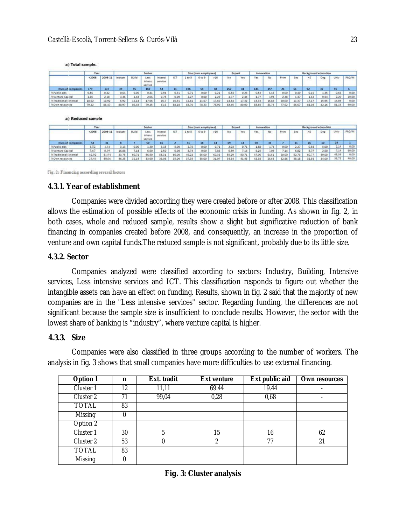|                                             |        | <b>Year</b><br>Sector |         |       |                           |                    | Size (num employees)<br>Export |        |        | <i>innovation</i> |       |       | <b>Background education</b> |       |       |       |       |       |       |       |
|---------------------------------------------|--------|-----------------------|---------|-------|---------------------------|--------------------|--------------------------------|--------|--------|-------------------|-------|-------|-----------------------------|-------|-------|-------|-------|-------|-------|-------|
|                                             | < 2008 | 2008-11               | Industr | Build | Less<br>intens<br>service | Intensi<br>service | ICT                            | 1 to 5 | 6 to 9 | >10               | No    | Yes:  | Yes<br>w                    | No    | Prim  | 5ec   | HS    | Deg   | Univ  | PhD/M |
| <b>Num of companies</b>                     | 179    | 119                   | 39      | 35    | 160                       | 53                 | 11                             | 196    | 54     | 48                | 257   | 41    | 141                         | 157   | 21    | -51   | 92    | 37    | 91    |       |
| <b>EPublic aids</b>                         | 0.56   | 0.42                  | 0.64    | 0,00  | 0.41                      | 0.94               | 0.91                           | 0.71   | 0.00   | 0.21              | 0.54  | 0.24  | 0.53                        | C48   | 0,00  | 0.49  | 0.16  | 1.35  | 0.66  | 0.00  |
| <b>NVenture Capital</b>                     | 1.65   | 2.18                  | 3.46    | 1.43  | 2.06                      | 0,75               | 0,00                           | 2,27   | 0.00   | 2.29              | 1,77  | 2.44  | 1.77                        | 194   | 2.38  | 1.47  | 1.63  | 0.54  | 2.20  | 10.00 |
| <b><i><u>STraditional listernal</u></i></b> | 18,02  | 10,92                 | 6,92    | 12,14 | 17,66                     | 16,7               | 10.91                          | 12,81  | 21.67  | 17,60             | 14,84 | 17,32 | 13,33                       | 16.85 | 20,00 | 11,37 | 17,17 | 15,95 | 14.89 | 0,00  |
| NOwn resources                              | 79.22  | 86,47                 | 88.97   | 86,43 | 79.25                     | 81.6               | 88.18                          | 83.70  | 78.33  | 79.90             | 82,45 | 30,00 | 83.65                       | 80.73 | 77,62 | 86.67 | 81.03 | 82.16 | 81.15 | 90.00 |

a) Total sample.

a) Reduced sample

|                                |        | Year<br>Sector |         |       |                           |                      | Size (num employees) |       |        | innovation<br>Export |       |       | Background education |       |       |       |       |       |       |       |
|--------------------------------|--------|----------------|---------|-------|---------------------------|----------------------|----------------------|-------|--------|----------------------|-------|-------|----------------------|-------|-------|-------|-------|-------|-------|-------|
|                                | < 2008 | 2008-11        | Industr | Build | Less<br>intens<br>service | Intensi-<br>service. | ICT                  | 1105  | 6 to 9 | >10                  | No    | Yes   | Yes                  | No.   | Prim  | 5ec   | H5    | Deg   | Univ  | PhD/M |
| Num of companies               |        | 31             |         |       | 50                        | 16                   |                      | 51    | 18     | 14                   | 69    |       | 50                   | ш     |       | 11    | 26    | 10    | 28    |       |
| <b>KPublic aids</b>            | 1.52   | 1.61           | 3,13    | 0,00  | 1,30                      | 3.13                 | 5,00                 | 2,75  | 0,00   | 0.71                 | 2,03  | 0.71  | 1,88                 | 1.74  | 0,00  | 2.27  | 0.58  | 5,00  | 2.14  | 0.00  |
| <b><i>NVenture Cacital</i></b> | 5,67   | 8,39           | 16,88   | 7.14  | 6.60                      | 2.50                 | 0,00                 | 8,73  | 0,00   | 7,86                 | 6.59  | 7,14  | 6.25                 | 1,09  | 7.14  | 6.82  | 5.77  | 2.00  | 7.14  | 60.00 |
| %Traditional listernal         | 62.02  | 41.94          | 33.75   | 60.71 | 56.50                     | 55.31                | 60.00                | 49.22 | 65.00  | 60.36                | 55.29 | 50.71 | 47.00                | 61.51 | 60.00 | 52,73 | 60.77 | 59.00 | 48.39 | 0.00  |
| %Own resour tes                | 28,46  | 48,06          | 46.25   | 32.14 | 33,60                     | 39.08                | 35.00                | 37,35 | 35.00  | 31.07                | 34.64 | 41.43 | 42.38                | 25.65 | 32.86 | 38.18 | 32.88 | 34.00 | 38,75 | 40,00 |

Fig. 2: Financing according several factors

#### **4.3.1. Year of establishment**

Companies were divided according they were created before or after 2008. This classification allows the estimation of possible effects of the economic crisis in funding. As shown in fig. 2, in both cases, whole and reduced sample, results show a slight but significative reduction of bank financing in companies created before 2008, and consequently, an increase in the proportion of venture and own capital funds.The reduced sample is not significant, probably due to its little size.

#### **4.3.2. Sector**

Companies analyzed were classified according to sectors: Industry, Building, Intensive services, Less intensive services and ICT. This classification responds to figure out whether the intangible assets can have an effect on funding. Results, shown in fig. 2 said that the majority of new companies are in the "Less intensive services" sector. Regarding funding, the differences are not significant because the sample size is insufficient to conclude results. However, the sector with the lowest share of banking is "industry", where venture capital is higher.

#### **4.3.3. Size**

Companies were also classified in three groups according to the number of workers. The analysis in fig. 3 shows that small companies have more difficulties to use external financing.

| <b>Option 1</b> | n  | Ext. tradit | <b>Ext venture</b> | Ext public aid | <b>Own resources</b> |
|-----------------|----|-------------|--------------------|----------------|----------------------|
| Cluster 1       | 12 | 11,11       | 69.44              | 19.44          |                      |
| Cluster 2       | 71 | 99,04       | 0,28               | 0,68           |                      |
| TOTAL           | 83 |             |                    |                |                      |
| <b>Missing</b>  | 0  |             |                    |                |                      |
| Option 2        |    |             |                    |                |                      |
| Cluster 1       | 30 | 5           | 15                 | 16             | 62                   |
| Cluster 2       | 53 | 0           | 2                  | 77             | 21                   |
| TOTAL           | 83 |             |                    |                |                      |
| <b>Missing</b>  |    |             |                    |                |                      |

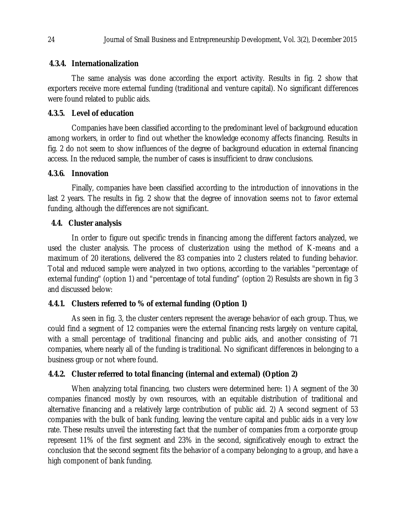#### **4.3.4. Internationalization**

The same analysis was done according the export activity. Results in fig. 2 show that exporters receive more external funding (traditional and venture capital). No significant differences were found related to public aids.

# **4.3.5. Level of education**

Companies have been classified according to the predominant level of background education among workers, in order to find out whether the knowledge economy affects financing. Results in fig. 2 do not seem to show influences of the degree of background education in external financing access. In the reduced sample, the number of cases is insufficient to draw conclusions.

# **4.3.6. Innovation**

Finally, companies have been classified according to the introduction of innovations in the last 2 years. The results in fig. 2 show that the degree of innovation seems not to favor external funding, although the differences are not significant.

# **4.4. Cluster analysis**

In order to figure out specific trends in financing among the different factors analyzed, we used the cluster analysis. The process of clusterization using the method of K-means and a maximum of 20 iterations, delivered the 83 companies into 2 clusters related to funding behavior. Total and reduced sample were analyzed in two options, according to the variables "percentage of external funding" (option 1) and "percentage of total funding" (option 2) Resulsts are shown in fig 3 and discussed below:

# **4.4.1. Clusters referred to % of external funding (Option 1)**

As seen in fig. 3, the cluster centers represent the average behavior of each group. Thus, we could find a segment of 12 companies were the external financing rests largely on venture capital, with a small percentage of traditional financing and public aids, and another consisting of 71 companies, where nearly all of the funding is traditional. No significant differences in belonging to a business group or not where found.

# **4.4.2. Cluster referred to total financing (internal and external) (Option 2)**

When analyzing total financing, two clusters were determined here: 1) A segment of the 30 companies financed mostly by own resources, with an equitable distribution of traditional and alternative financing and a relatively large contribution of public aid. 2) A second segment of 53 companies with the bulk of bank funding, leaving the venture capital and public aids in a very low rate. These results unveil the interesting fact that the number of companies from a corporate group represent 11% of the first segment and 23% in the second, significatively enough to extract the conclusion that the second segment fits the behavior of a company belonging to a group, and have a high component of bank funding.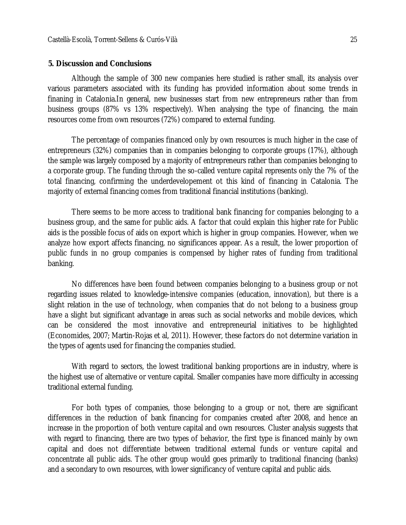#### **5. Discussion and Conclusions**

Although the sample of 300 new companies here studied is rather small, its analysis over various parameters associated with its funding has provided information about some trends in finaning in Catalonia.In general, new businesses start from new entrepreneurs rather than from business groups (87% vs 13% respectively). When analysing the type of financing, the main resources come from own resources (72%) compared to external funding.

The percentage of companies financed only by own resources is much higher in the case of entrepreneurs (32%) companies than in companies belonging to corporate groups (17%), although the sample was largely composed by a majority of entrepreneurs rather than companies belonging to a corporate group. The funding through the so-called venture capital represents only the 7% of the total financing, confirming the underdevelopement ot this kind of financing in Catalonia. The majority of external financing comes from traditional financial institutions (banking).

There seems to be more access to traditional bank financing for companies belonging to a business group, and the same for public aids. A factor that could explain this higher rate for Public aids is the possible focus of aids on export which is higher in group companies. However, when we analyze how export affects financing, no significances appear. As a result, the lower proportion of public funds in no group companies is compensed by higher rates of funding from traditional banking.

No differences have been found between companies belonging to a business group or not regarding issues related to knowledge-intensive companies (education, innovation), but there is a slight relation in the use of technology, when companies that do not belong to a business group have a slight but significant advantage in areas such as social networks and mobile devices, which can be considered the most innovative and entrepreneurial initiatives to be highlighted (Economides, 2007; Martin-Rojas et al, 2011). However, these factors do not determine variation in the types of agents used for financing the companies studied.

With regard to sectors, the lowest traditional banking proportions are in industry, where is the highest use of alternative or venture capital. Smaller companies have more difficulty in accessing traditional external funding.

For both types of companies, those belonging to a group or not, there are significant differences in the reduction of bank financing for companies created after 2008, and hence an increase in the proportion of both venture capital and own resources. Cluster analysis suggests that with regard to financing, there are two types of behavior, the first type is financed mainly by own capital and does not differentiate between traditional external funds or venture capital and concentrate all public aids. The other group would goes primarily to traditional financing (banks) and a secondary to own resources, with lower significancy of venture capital and public aids.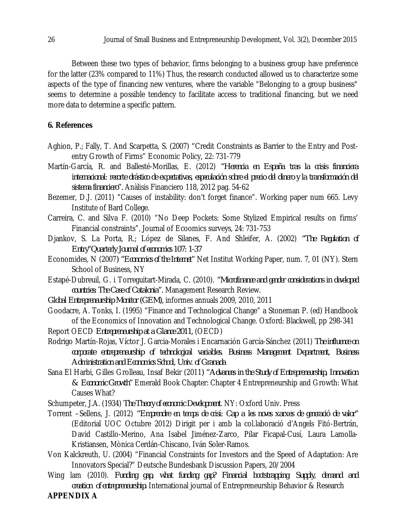Between these two types of behavior, firms belonging to a business group have preference for the latter (23% compared to 11%) Thus, the research conducted allowed us to characterize some aspects of the type of financing new ventures, where the variable "Belonging to a group business" seems to determine a possible tendency to facilitate access to traditional financing, but we need more data to determine a specific pattern.

### **6. References**

- Aghion, P.; Fally, T. And Scarpetta, S. (2007) "Credit Constraints as Barrier to the Entry and Postentry Growth of Firms" Economic Policy, 22: 731-779
- Martín-García, R. and Ballesté-Morillas, E. (2012) *"Herencia en España tras la crisis financiera internacional: recorte drástico de expectativas, especulación sobre el precio del dinero y la transformación del sistema financiero".* Anàlisis Financiero 118, 2012 pag. 54-62
- Bezemer, D.J. (2011) "Causes of instability: don't forget finance". Working paper num 665. Levy Institute of Bard College.
- Carreira, C. and Silva F. (2010) "No Deep Pockets: Some Stylized Empirical results on firms' Financial constraints", Journal of Ecoomics surveys, 24: 731-753
- Djankov, S. La Porta, R.; López de Silanes, F. And Shleifer, A. (2002) *"The Regulation of Entry"Quarterly Journal of economics 107: 1-37*
- Economides, N (2007*) "Economics of the Internet"* Net Institut Working Paper, num. 7, 01 (NY). Stern School of Business, NY
- Estapé-Dubreuil, G. i Torreguitart-Mirada, C. (2010). *"Microfinance and gender considerations in developed countries: The Case of Catalonia".* Management Research Review.
- *Global Entrepreneurship Monitor (GEM),* informes annuals 2009, 2010, 2011
- Goodacre, A. Tonks, I. (1995) "Finance and Technological Change" a Stoneman P. (ed) Handbook of the Economics of Innovation and Technological Change. Oxford: Blackwell, pp 298-341
- Report OECD *Entrepreneurship at a Glance 2011,* (OECD)
- Rodrigo Martín-Rojas, Víctor J. Garcia-Morales i Encarnación García-Sánchez (2011) *The influence on corporate entrepreneurship of technological variables. Business Management Department, Business Administration and Economics School, Univ. of Granada*
- Sana El Harbi, Gilles Grolleau, Insaf Bekir (2011*) "Advances in the Study of Entrepreneurship, Innovation & Economic Growth"* Emerald Book Chapter: Chapter 4 Entrepreneurship and Growth: What Causes What?

Schumpeter, J.A. (1934) *The Theory of economic Development*. NY: Oxford Univ. Press

- Torrent –Sellens, J. (2012) *"Emprendre en temps de crisi: Cap a les noves xarxes de generació de valor"*  (Editorial UOC Octubre 2012) Dirigit per i amb la col.laboració d'Angels Fitó-Bertrán, David Castillo-Merino, Ana Isabel Jiménez-Zarco, Pilar Ficapal-Cusí, Laura Lamolla-Kristiansen, Mònica Cerdán-Chiscano, Iván Soler-Ramos.
- Von Kalckreuth, U. (2004) "Financial Constraints for Investors and the Speed of Adaptation: Are Innovators Special?" Deutsche Bundesbank Discussion Papers, 20/2004
- Wing lam (2010). *Funding gap, what funding gap? Financial bootstrapping: Supply, demand and creation of entrepreneurship.* International journal of Entrepreneurship Behavior & Research

#### **APPENDIX A**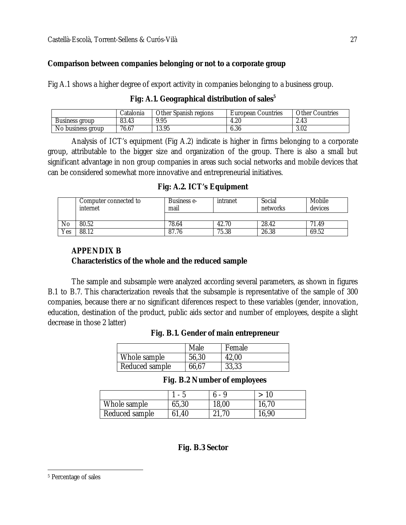### **Comparison between companies belonging or not to a corporate group**

Fig A.1 shows a higher degree of export activity in companies belonging to a business group.

|  |  | Fig: A.1. Geographical distribution of sales <sup>5</sup> |  |
|--|--|-----------------------------------------------------------|--|
|--|--|-----------------------------------------------------------|--|

|                        | Catalonia | Other Spanish<br>ı reaions | Countries<br>Luropean ' | Other<br><sup>.</sup> Countries |
|------------------------|-----------|----------------------------|-------------------------|---------------------------------|
| Business aroup         | 83.43     | 9.95                       | 4.20                    | 2.43                            |
| No<br>, business aroup | 76.67     | 13.95                      | $\sim$<br>6.36          | 3.02                            |

Analysis of ICT's equipment (Fig A.2) indicate is higher in firms belonging to a corporate group, attributable to the bigger size and organization of the group. There is also a small but significant advantage in non group companies in areas such social networks and mobile devices that can be considered somewhat more innovative and entrepreneurial initiatives.

|  |  | Fig: A.2. ICT's Equipment |  |
|--|--|---------------------------|--|
|--|--|---------------------------|--|

|     | Computer connected to<br>internet | Business e-<br>mail | intranet | Social<br>networks | Mobile<br>devices |
|-----|-----------------------------------|---------------------|----------|--------------------|-------------------|
|     |                                   |                     |          |                    |                   |
| No  | 80.52                             | 78.64               | 42.70    | 28.42              | 71.49             |
| Yes | 88.12                             | 87.76               | 75.38    | 26.38              | 69.52             |

# **APPENDIX B**

#### **Characteristics of the whole and the reduced sample**

Reduced sample  $\vert$  66,67

The sample and subsample were analyzed according several parameters, as shown in figures B.1 to B.7. This characterization reveals that the subsample is representative of the sample of 300 companies, because there ar no significant diferences respect to these variables (gender, innovation, education, destination of the product, public aids sector and number of employees, despite a slight decrease in those 2 latter)

|                | Male  | Female |  |
|----------------|-------|--------|--|
| Whole sample   | 56,30 | 42,00  |  |
| Reduced sample | 66.67 | 33.33  |  |

#### **Fig. B.1. Gender of main entrepreneur**

| Fig. B.2 Number of employees |
|------------------------------|
|------------------------------|

|                | . – h | ሰ - 9 | > 10  |
|----------------|-------|-------|-------|
| Whole sample   | 65,30 | 18,00 | 16,70 |
| Reduced sample | 61,40 | 21,70 | 16,90 |

#### **Fig. B.3 Sector**

 $\overline{a}$ 

<sup>5</sup> Percentage of sales